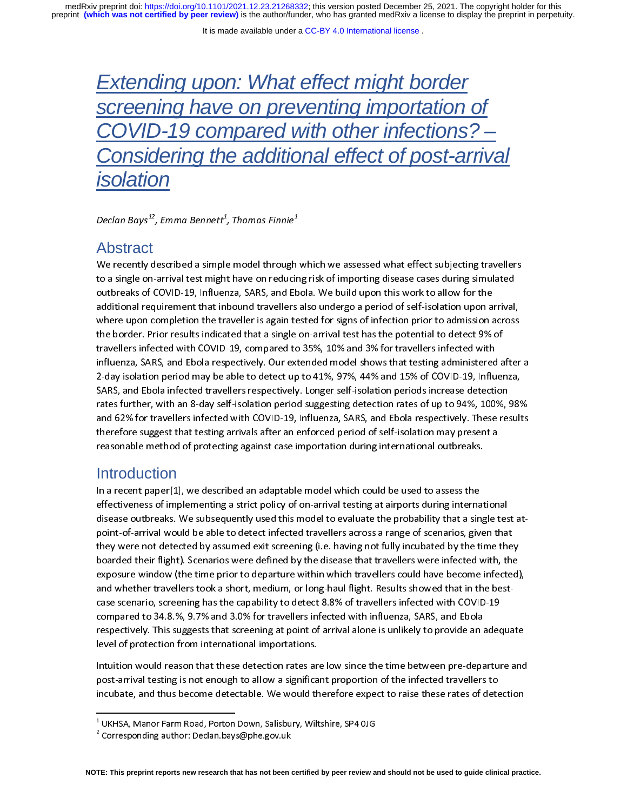preprint **(which was not certified by peer review)** is the author/funder, who has granted medRxiv a license to display the preprint in perpetuity. medRxiv preprint doi: [https://doi.org/10.1101/2021.12.23.21268332;](https://doi.org/10.1101/2021.12.23.21268332) this version posted December 25, 2021. The copyright holder for this

# *Extending upon: What effect might border screening have on preventing importation of COVID-19 compared with other infections? – Considering the additional effect of post-arrival isolation*

Decian Bays ,Emma Bennett,Thomas Finnie

#### Abstract

 $\begin{array}{c} \n\frac{1}{2} \quad \text{if} \quad \frac{1}{2} \quad \text{if} \quad \frac{1}{2} \quad \text{if} \quad \frac{1}{2} \quad \text{if} \quad \frac{1}{2} \quad \text{if} \quad \frac{1}{2} \quad \text{if} \quad \frac{1}{2} \quad \text{if} \quad \frac{1}{2} \quad \text{if} \quad \frac{1}{2} \quad \text{if} \quad \frac{1}{2} \quad \text{if} \quad \frac{1}{2} \quad \text{if} \quad \frac{1}{2} \quad \text{if} \quad \frac{1}{2} \quad \text{if} \quad \frac{$ We recently assessed a simple and through minimum and the stress multiple recently simulated<br>to a single on-arrival test might have on reducing risk of importing disease cases during simulated<br>outbreaks of COVID-19, Influe to a single structure test might have served and given stamped under the standing antihility outbreaks of COVID-19, Influenza, SARS, and Ebola. We build upon this work to allow for the additional requirement that inbound t additional requirement that inbound travellers also undergo a period of self-isolation upon a<br>where upon completion the traveller is again tested for signs of infection prior to admission a<br>the border. Prior results indica additional requirement that inbound travellers also undergo a period of self-isolation upon arrival,<br>where upon completion the traveller is again tested for signs of infection prior to admission across<br>the border. Prior re the border. Prior results indicated that a single on-arrival test has the potential to detect 9% of<br>travellers infected with COVID-19, compared to 35%, 10% and 3% for travellers infected with<br>influenza, SARS, and Ebola res travellers infected with COVID-19, compared to 35%, 10% and 3% for travellers infected with<br>influenza, SARS, and Ebola respectively. Our extended model shows that testing administered a<br>2-day isolation period may be able t The matrice measure in the COVID-19 and the state of the SARS, and Ebola respectively. Our extended model shows that testing administered<br>2-day isolation period may be able to detect up to 41%, 97%, 44% and 15% of COVID-19 influence, they are setting provided model in the theorem in the testing summarized model of 2-day isolation period may be able to detect up to 41%, 97%, 44% and 15% of COVID-19, Influenza, SARS, and Ebola infected travell 2008) SARS, and Ebola infected travellers respectively. Longer self-isolation periods increase detection rates further, with an 8-day self-isolation period suggesting detection rates of up to 94%, 100%, 989 and 62% for tra rates further, with an 8-day self-isolation period suggesting detection rates of up to 94%, 100%, s<br>and 62% for travellers infected with COVID-19, Influenza, SARS, and Ebola respectively. These res<br>therefore suggest that t and 62% for travellers infected with COVID-19, Influenza, SARS, and Ebola respectively. These results<br>therefore suggest that testing arrivals after an enforced period of self-isolation may present a<br>reasonable method of pr and 128 for the leadst material mini-19 (19) mini-19, and 181 for transpected period in the set of suff-isolation may present a<br>reasonable method of protecting against case importation during international outbreaks.<br>Intro

#### **Introduction**

the foreign that testing arrival after an enforced period to testant many present arrival is<br>the suggest that testing against case importation during international outbreaks.<br>Introduction<br>In a recent paper[1], we described Introduction<br>In a recent paper[1], we described an adaptable model which could be used to assess the<br>effectiveness of implementing a strict policy of on-arrival testing at airports during internat<br>disease outbreaks. We sub effectiveness of implementing a strict policy of on-arrival testing at airports during interna<br>disease outbreaks. We subsequently used this model to evaluate the probability that a sin<br>point-of-arrival would be able to det effective international disease outbreaks. We subsequently used this model to evaluate the probability that a single tes<br>point-of-arrival would be able to detect infected travellers across a range of scenarios, given that<br> case scenario, screening has the capability to detect 8.8% of travellers infected with COVID-19 point-of-arrival would be able to detected by assumed exit screening (i.e. having not fully incubated by the time the<br>boarded their flight). Scenarios were defined by the disease that travellers were infected with, the<br>exp they detected their flight). Scenarios were defined by the disease that travellers were infected with, the exposure window (the time prior to departure within which travellers could have become infected) and whether travel exposure window (the time prior to departure within which travellers could have become infected)<br>and whether travellers took a short, medium, or long-haul flight. Results showed that in the best-<br>case scenario, screening h expose that in the best-<br>case scenario, screening has the capability to detect 8.8% of travellers infected with COVID-19<br>compared to 34.8.%, 9.7% and 3.0% for travellers infected with influenza, SARS, and Ebola<br>respectivel compared to 34.8.%, 9.7% and 3.0% for travellers infected with influenza, SARS, and Ebola<br>respectively. This suggests that screening at point of arrival alone is unlikely to provide an adec<br>level of protection from interna level of protection from international importations.<br>Intuition would reason that these detection rates are low since the time between pre-departure and

medicion would reason that these detection rates are low since the time between pre-departate and<br>post-arrival testing is not enough to allow a significant proportion of the infected travellers to<br>incubate, and thus become complete to 34.8. This suggests that screening at point of arrival alone is unlikely to provide an a<br>level of protection from international importations.<br>Intuition would reason that these detection rates are low since the incubate, and thus become detectable. We would therefore expect to raise these rates of detection

 $^{\rm 1}$  UKHSA, Manor Farm Road, Porton Down, Salisbury, Wiltshire, SP4 0JG

 $\frac{1}{1}$ UKHSA, Manor Farm Road, Porton Down, Salisbury, Wiltshire, SP4 0JG 2 Corresponding author: Declan.bays@phe.gov.uk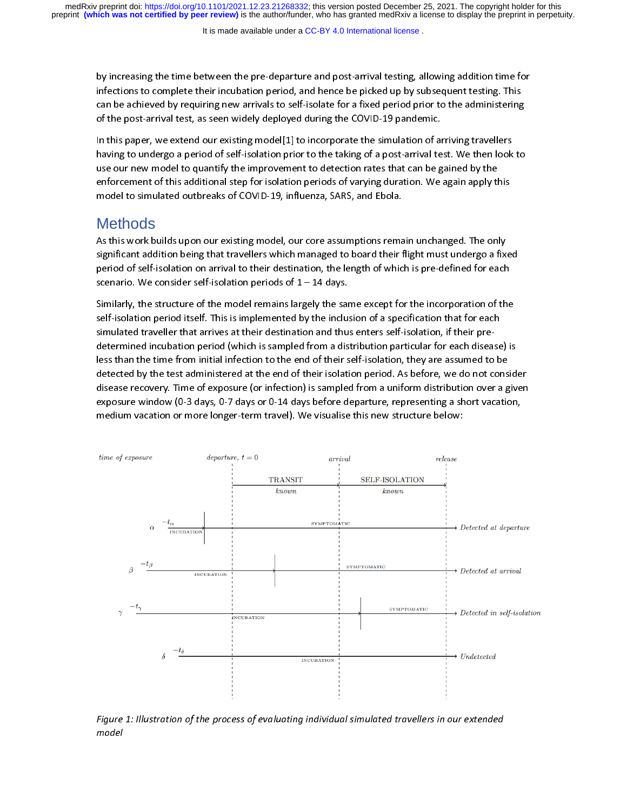It is made available under a [CC-BY 4.0 International license](http://creativecommons.org/licenses/by/4.0/) .

by increasing the time between the pre-departure and post-arrival testing, allowing addition time for infections to complete their incubation period, and hence be picked up by subsequent testing. This can be achieved by re

can be achieved by requiring new arrivals to self-isolate for a fixed period prior to the administering<br>of the post-arrival test, as seen widely deployed during the COVID-19 pandemic.<br>In this paper, we extend our existing of the post-arrival test, as seen widely deployed during the COVID-19 pandemic.<br>In this paper, we extend our existing model[1] to incorporate the simulation of arriving travellers<br>having to undergo a period of self-isolati In this paper, we extend our existing model[1] to incorporate the simulation of an having to undergo a period of self-isolation prior to the taking of a post-arrival te use our new model to quantify the improvement to dete In this paper, we entertained our extend of self-isolation prior to the taking of a post-arrival test. We then look<br>use our new model to quantify the improvement to detection rates that can be gained by the<br>enforcement of use our new model to quantify the improvement to detection rates that can be gained by the<br>enforcement of this additional step for isolation periods of varying duration. We again apply this<br>model to simulated outbreaks of enforcement of this additional step for isolation periods of varying duration. We again apply this model to simulated outbreaks of COVID-19, influenza, SARS, and Ebola.<br>Methods<br>As this work builds upon our existing model,

# **Methods**

significant addition being that travellers which managed to board their flight must undergo a fixed model to simulate simulated out to simulate and the simulated outbreaks of Methods<br>As this work builds upon our existing model, our core assumptions rema<br>significant addition being that travellers which managed to board th As the matrix build and their distribution of the managed to board their flight must undergo a fix-<br>period of self-isolation on arrival to their destination, the length of which is pre-defined for each<br>scenario. We conside

significant addition on arrival to their destination, the length of which is pre-defined for each<br>scenario. We consider self-isolation periods of 1 – 14 days.<br>Similarly, the structure of the model remains largely the same scenario. We consider self-isolation periods of  $1-14$  days.<br>Similarly, the structure of the model remains largely the same except for the incorporation of the<br>self-isolation period itself. This is implemented by the incl Similarly, the structure of the model remains largely the sarelf-isolation period itself. This is implemented by the inclusion simulated traveller that arrives at their destination and thus.<br>determined incubation period (w self-isolation period itself. This is implemented by the inclusion of a specification that for each<br>simulated traveller that arrives at their destination and thus enters self-isolation, if their pre-<br>determined incubation simulated traveller that arrives at their destination and thus enters self-isolation, if their pre-<br>determined incubation period (which is sampled from a distribution particular for each disease<br>less than the time from ini medium vacation or more longer-term travel). We visualise this new structure below: detected by the test administered at the end of their self-isolation, they are assumed to be<br>detected by the test administered at the end of their isolation period. As before, we do not consid<br>disease recovery. Time of exp detected by the test administered at the end of their isolation period. As before, we do not cons<br>disease recovery. Time of exposure (or infection) is sampled from a uniform distribution over a g<br>exposure window (0-3 days, disease recovery. Time of exposure (or infection) is sampled from a uniform distribution over a given<br>exposure window (0-3 days, 0-7 days or 0-14 days before departure, representing a short vacation,<br>medium vacation or mo



Figure 1: Illustration of the process of evaluating individual simulated travellers in our extended model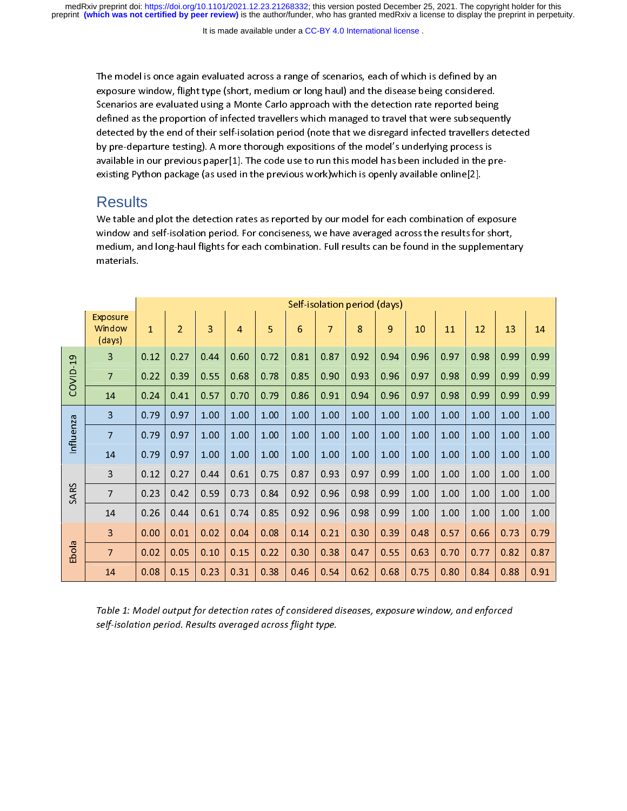preprint **(which was not certified by peer review)** is the author/funder, who has granted medRxiv a license to display the preprint in perpetuity. medRxiv preprint doi: [https://doi.org/10.1101/2021.12.23.21268332;](https://doi.org/10.1101/2021.12.23.21268332) this version posted December 25, 2021. The copyright holder for this

It is made available under a CC-BY 4.0 International license.

exposure window, flight type (short, medium or long haul) and the disease being considered.<br>Scenarios are evaluated using a Monte Carlo approach with the detection rate reported being<br>defined as the proportion of infected Scenarios are evaluated using a Monte Carlo approach with the detection rate reported being<br>defined as the proportion of infected travellers which managed to travel that were subsequer<br>detected by the end of their self-iso defined as the proportion of infected travellers which managed to travel that were subsequen<br>detected by the end of their self-isolation period (note that we disregard infected travellers de<br>by pre-departure testing). A mo detected by the end of their self-isolation period (note that we disregard infected travellers detected by pre-departure testing). A more thorough expositions of the model's underlying process is available in our previous detected by pre-departure testing). A more thorough expositions of the model's underlying process is<br>available in our previous paper[1]. The code use to run this model has been included in the pre-<br>existing Python package by a mailable in our previous paper[1]. The code use to run this model has been included in the p<br>existing Python package (as used in the previous work)which is openly available online[2].<br>**ReSUItS**<br>We table and plot the d

#### **Results**

medium, and long-haul flights for each combination. Full results can be found in the supplemen examples and plot the detection rates as reported by our model for each combination of expandow and self-isolation period. For conciseness, we have averaged across the results for medium, and long-haul flights for each com Window and self-isolation period. For conciseness, we have averaged across the results for short,<br>medium, and long-haul flights for each combination. Full results can be found in the supplementar<br>materials.<br>Self-isolation medium, and long-haul flights for each combination. Full results can be found in the supplementa<br>
materials.<br>
<u>xposure and the results for each combination.</u> Full results can be found in the supplementa

|                                                                                                                                                                | materials.                          |              |                              |      |                |                |                 |                |      |      |      |      |      |      |      |  |
|----------------------------------------------------------------------------------------------------------------------------------------------------------------|-------------------------------------|--------------|------------------------------|------|----------------|----------------|-----------------|----------------|------|------|------|------|------|------|------|--|
|                                                                                                                                                                |                                     |              |                              |      |                |                |                 |                |      |      |      |      |      |      |      |  |
|                                                                                                                                                                |                                     |              | Self-isolation period (days) |      |                |                |                 |                |      |      |      |      |      |      |      |  |
|                                                                                                                                                                | <b>Exposure</b><br>Window<br>(days) | $\mathbf{1}$ | $\overline{2}$               | 3    | $\overline{4}$ | $\overline{5}$ | $6\phantom{.}6$ | $\overline{7}$ | 8    | 9    | 10   | 11   | 12   | 13   | 14   |  |
| COVID-19                                                                                                                                                       | $\overline{\mathbf{3}}$             | 0.12         | 0.27                         | 0.44 | 0.60           | 0.72           | 0.81            | 0.87           | 0.92 | 0.94 | 0.96 | 0.97 | 0.98 | 0.99 | 0.99 |  |
|                                                                                                                                                                | $\overline{7}$                      | 0.22         | 0.39                         | 0.55 | 0.68           | 0.78           | 0.85            | 0.90           | 0.93 | 0.96 | 0.97 | 0.98 | 0.99 | 0.99 | 0.99 |  |
|                                                                                                                                                                | 14                                  | 0.24         | 0.41                         | 0.57 | 0.70           | 0.79           | 0.86            | 0.91           | 0.94 | 0.96 | 0.97 | 0.98 | 0.99 | 0.99 | 0.99 |  |
| Influenza                                                                                                                                                      | 3                                   | 0.79         | 0.97                         | 1.00 | 1.00           | 1.00           | 1.00            | 1.00           | 1.00 | 1.00 | 1.00 | 1.00 | 1.00 | 1.00 | 1.00 |  |
|                                                                                                                                                                | $\overline{7}$                      | 0.79         | 0.97                         | 1.00 | 1.00           | 1.00           | 1.00            | 1.00           | 1.00 | 1.00 | 1.00 | 1.00 | 1.00 | 1.00 | 1.00 |  |
|                                                                                                                                                                | 14                                  | 0.79         | 0.97                         | 1.00 | 1.00           | 1.00           | 1.00            | 1.00           | 1.00 | 1.00 | 1.00 | 1.00 | 1.00 | 1.00 | 1.00 |  |
| <b>SARS</b>                                                                                                                                                    | $\mathbf{3}$                        | 0.12         | 0.27                         | 0.44 | 0.61           | 0.75           | 0.87            | 0.93           | 0.97 | 0.99 | 1.00 | 1.00 | 1.00 | 1.00 | 1.00 |  |
|                                                                                                                                                                | $\overline{7}$                      | 0.23         | 0.42                         | 0.59 | 0.73           | 0.84           | 0.92            | 0.96           | 0.98 | 0.99 | 1.00 | 1.00 | 1.00 | 1.00 | 1.00 |  |
|                                                                                                                                                                | 14                                  | 0.26         | 0.44                         | 0.61 | 0.74           | 0.85           | 0.92            | 0.96           | 0.98 | 0.99 | 1.00 | 1.00 | 1.00 | 1.00 | 1.00 |  |
| Ebola                                                                                                                                                          | 3                                   | 0.00         | 0.01                         | 0.02 | 0.04           | 0.08           | 0.14            | 0.21           | 0.30 | 0.39 | 0.48 | 0.57 | 0.66 | 0.73 | 0.79 |  |
|                                                                                                                                                                | $\overline{7}$                      | 0.02         | 0.05                         | 0.10 | 0.15           | 0.22           | 0.30            | 0.38           | 0.47 | 0.55 | 0.63 | 0.70 | 0.77 | 0.82 | 0.87 |  |
|                                                                                                                                                                | 14                                  | 0.08         | 0.15                         | 0.23 | 0.31           | 0.38           | 0.46            | 0.54           | 0.62 | 0.68 | 0.75 | 0.80 | 0.84 | 0.88 | 0.91 |  |
| Table 1: Model output for detection rates of considered diseases, exposure window, and enforced<br>self-isolation period. Results averaged across flight type. |                                     |              |                              |      |                |                |                 |                |      |      |      |      |      |      |      |  |

14 0.08 0.15 0.23 0.31 0.38 0.46 0.54 0.62 0.68 0.75 0.80 0.84 0.88 0.91  $\frac{1}{2}$ Table 1: Model output for detection rates of considered diseases, exposure window, and enforced self-isolation period. Results averaged across flight type.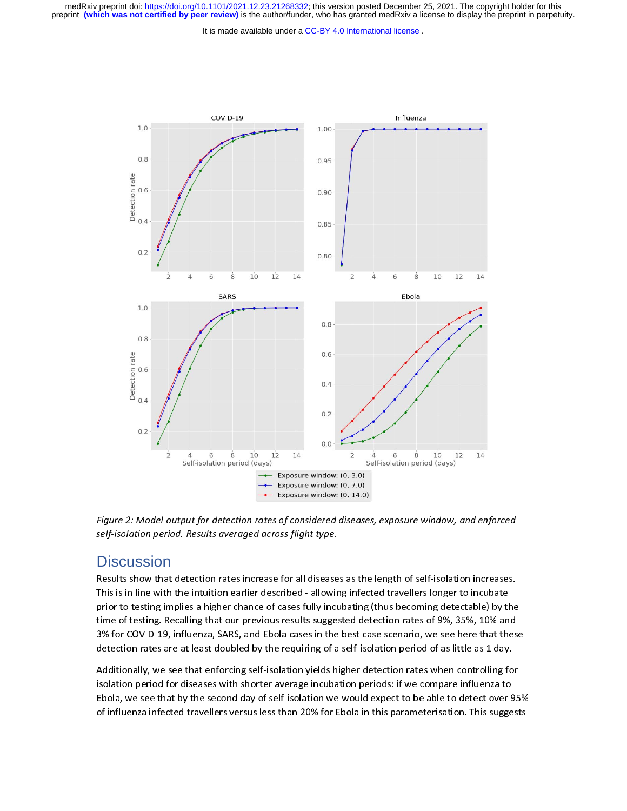preprint **(which was not certified by peer review)** is the author/funder, who has granted medRxiv a license to display the preprint in perpetuity. medRxiv preprint doi: [https://doi.org/10.1101/2021.12.23.21268332;](https://doi.org/10.1101/2021.12.23.21268332) this version posted December 25, 2021. The copyright holder for this

It is made available under a CC-BY 4.0 International license.



Figure 2: Model output for detection rates of considered diseases, exposure window, and enforced self-isolation period. Results averaged across flight type.

### **Discussion**

Results show that detection rates increase for all diseases as the length of self-isolation increases.<br>This is in line with the intuition earlier described - allowing infected travellers longer to incubate prior to testing implies a higher chance of cases fully incubating (thus becoming detectable) by the prior to testing implies a higher chance of cases fully incubating (thus becoming detectable) by the time of testing. Recalling that our previous results suggested detection rates of 9%, 35%, 10% and 3% for COVID-19, influenza, SARS, and Ebola cases in the best case scenario, we see here that these detection rates are at least doubled by the requiring of a self-isolation period of as little as 1 day.

Additionally, we see that enforcing self-isolation yields higher detection rates when controlling for<br>isolation period for diseases with shorter average incubation periods: if we compare influenza to Ebola, we see that by the second day of self-isolation we would expect to be able to detect over 95% Ebola, we see that by the second day of self-isolation we would expect to be able to detect over 95% of influenza infected travellers versus less than 20% for Ebola in this parameterisation. This suggests